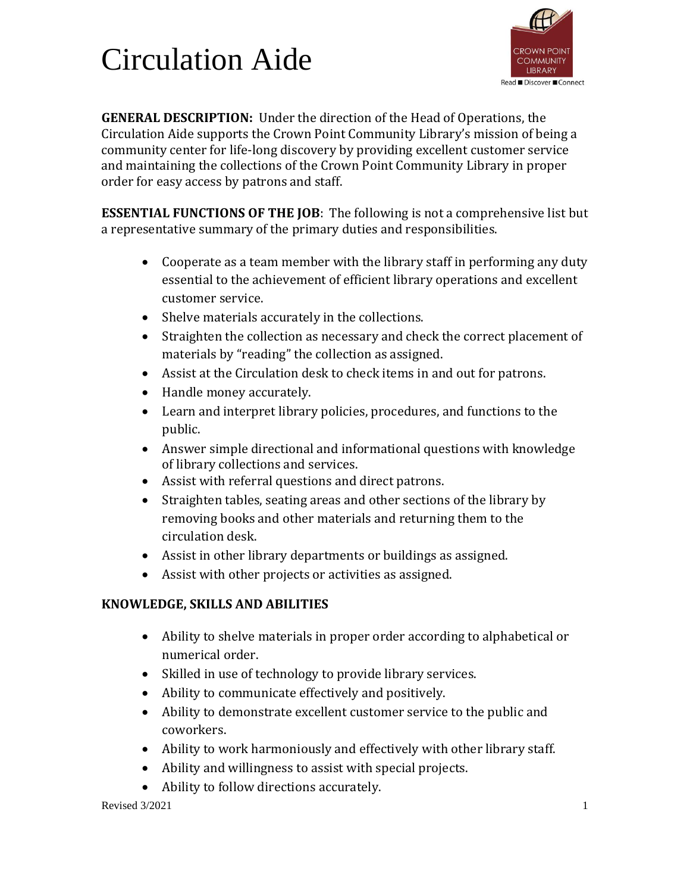## Circulation Aide



**GENERAL DESCRIPTION:** Under the direction of the Head of Operations, the Circulation Aide supports the Crown Point Community Library's mission of being a community center for life-long discovery by providing excellent customer service and maintaining the collections of the Crown Point Community Library in proper order for easy access by patrons and staff.

**ESSENTIAL FUNCTIONS OF THE JOB**: The following is not a comprehensive list but a representative summary of the primary duties and responsibilities.

- Cooperate as a team member with the library staff in performing any duty essential to the achievement of efficient library operations and excellent customer service.
- Shelve materials accurately in the collections.
- Straighten the collection as necessary and check the correct placement of materials by "reading" the collection as assigned.
- Assist at the Circulation desk to check items in and out for patrons.
- Handle money accurately.
- Learn and interpret library policies, procedures, and functions to the public.
- Answer simple directional and informational questions with knowledge of library collections and services.
- Assist with referral questions and direct patrons.
- Straighten tables, seating areas and other sections of the library by removing books and other materials and returning them to the circulation desk.
- Assist in other library departments or buildings as assigned.
- Assist with other projects or activities as assigned.

## **KNOWLEDGE, SKILLS AND ABILITIES**

- Ability to shelve materials in proper order according to alphabetical or numerical order.
- Skilled in use of technology to provide library services.
- Ability to communicate effectively and positively.
- Ability to demonstrate excellent customer service to the public and coworkers.
- Ability to work harmoniously and effectively with other library staff.
- Ability and willingness to assist with special projects.
- Ability to follow directions accurately.